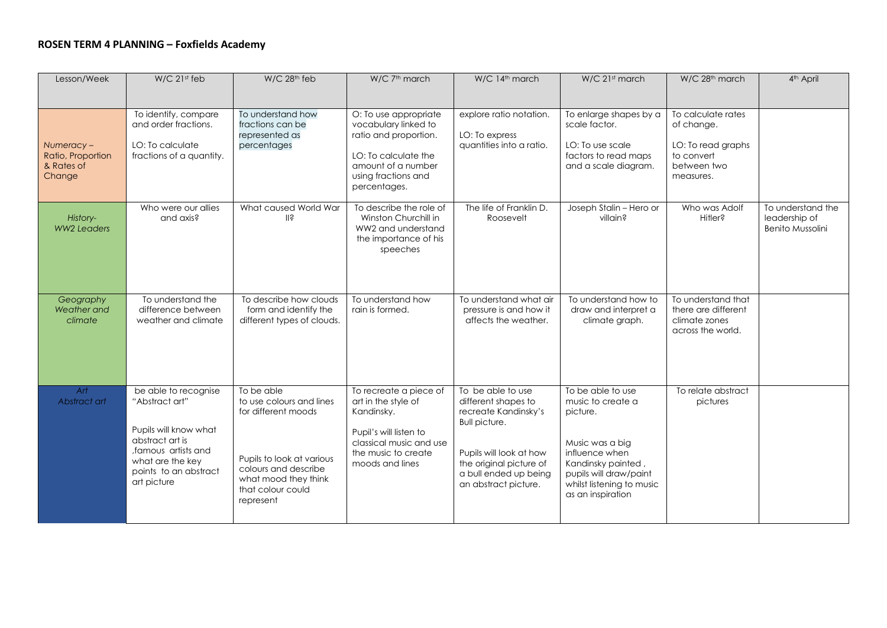## **ROSEN TERM 4 PLANNING – Foxfields Academy**

| Lesson/Week                                            | W/C 21st feb                                                                                                                                                           | W/C 28 <sup>th</sup> feb                                                                                                                                                     | W/C 7 <sup>th</sup> march                                                                                                                                   | W/C 14 <sup>th</sup> march                                                                                                                                                               | W/C 21st march                                                                                                                                                                            | W/C 28 <sup>th</sup> march                                                                       | 4 <sup>th</sup> April                                         |
|--------------------------------------------------------|------------------------------------------------------------------------------------------------------------------------------------------------------------------------|------------------------------------------------------------------------------------------------------------------------------------------------------------------------------|-------------------------------------------------------------------------------------------------------------------------------------------------------------|------------------------------------------------------------------------------------------------------------------------------------------------------------------------------------------|-------------------------------------------------------------------------------------------------------------------------------------------------------------------------------------------|--------------------------------------------------------------------------------------------------|---------------------------------------------------------------|
|                                                        |                                                                                                                                                                        |                                                                                                                                                                              |                                                                                                                                                             |                                                                                                                                                                                          |                                                                                                                                                                                           |                                                                                                  |                                                               |
| Numeracy-<br>Ratio, Proportion<br>& Rates of<br>Change | To identify, compare<br>and order fractions.<br>LO: To calculate<br>fractions of a quantity.                                                                           | To understand how<br>fractions can be<br>represented as<br>percentages                                                                                                       | O: To use appropriate<br>vocabulary linked to<br>ratio and proportion.<br>LO: To calculate the<br>amount of a number<br>using fractions and<br>percentages. | explore ratio notation.<br>LO: To express<br>quantities into a ratio.                                                                                                                    | To enlarge shapes by a<br>scale factor.<br>LO: To use scale<br>factors to read maps<br>and a scale diagram.                                                                               | To calculate rates<br>of change.<br>LO: To read graphs<br>to convert<br>between two<br>measures. |                                                               |
| History-<br><b>WW2 Leaders</b>                         | Who were our allies<br>and axis?                                                                                                                                       | What caused World War<br>$\ $                                                                                                                                                | To describe the role of<br>Winston Churchill in<br>WW2 and understand<br>the importance of his<br>speeches                                                  | The life of Franklin D.<br>Roosevelt                                                                                                                                                     | Joseph Stalin - Hero or<br>villain?                                                                                                                                                       | Who was Adolf<br><b>Hitler?</b>                                                                  | To understand the<br>leadership of<br><b>Benito Mussolini</b> |
| Geography<br>Weather and<br>climate                    | To understand the<br>difference between<br>weather and climate                                                                                                         | To describe how clouds<br>form and identify the<br>different types of clouds.                                                                                                | To understand how<br>rain is formed.                                                                                                                        | To understand what air<br>pressure is and how it<br>affects the weather.                                                                                                                 | To understand how to<br>draw and interpret a<br>climate graph.                                                                                                                            | To understand that<br>there are different<br>climate zones<br>across the world.                  |                                                               |
| Art<br>Abstract art                                    | be able to recognise<br>"Abstract art"<br>Pupils will know what<br>abstract art is<br>, famous artists and<br>what are the key<br>points to an abstract<br>art picture | To be able<br>to use colours and lines<br>for different moods<br>Pupils to look at various<br>colours and describe<br>what mood they think<br>that colour could<br>represent | To recreate a piece of<br>art in the style of<br>Kandinsky.<br>Pupil's will listen to<br>classical music and use<br>the music to create<br>moods and lines  | To be able to use<br>different shapes to<br>recreate Kandinsky's<br>Bull picture.<br>Pupils will look at how<br>the original picture of<br>a bull ended up being<br>an abstract picture. | To be able to use<br>music to create a<br>picture.<br>Music was a big<br>influence when<br>Kandinsky painted,<br>pupils will draw/paint<br>whilst listening to music<br>as an inspiration | To relate abstract<br>pictures                                                                   |                                                               |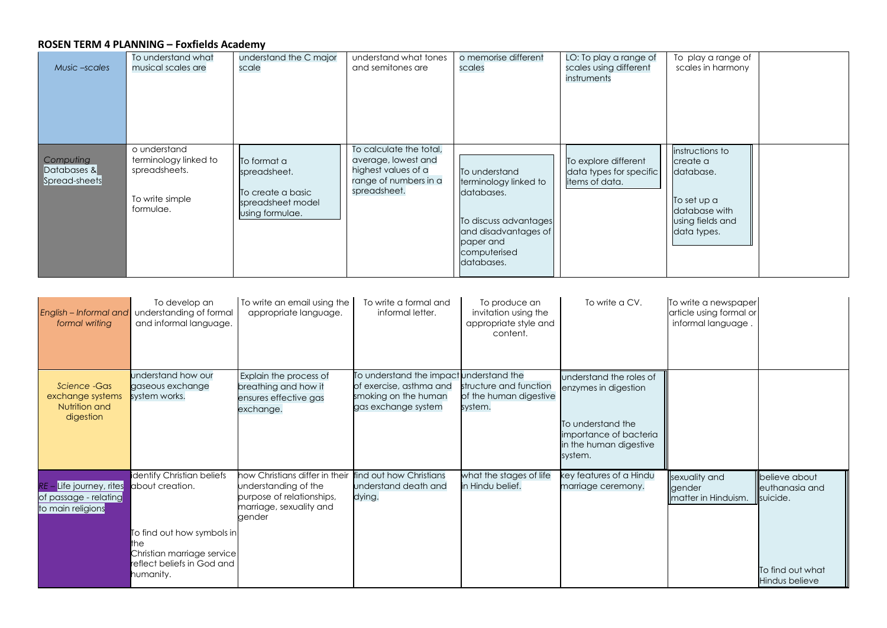## **ROSEN TERM 4 PLANNING – Foxfields Academy**

| Music -scales                             | To understand what<br>musical scales are                                               | understand the C major<br>scale                                                          | understand what tones<br>and semitones are                                                                     | o memorise different<br>scales                                                                                                                   | LO: To play a range of<br>scales using different<br>instruments   | To play a range of<br>scales in harmony                                                                     |  |
|-------------------------------------------|----------------------------------------------------------------------------------------|------------------------------------------------------------------------------------------|----------------------------------------------------------------------------------------------------------------|--------------------------------------------------------------------------------------------------------------------------------------------------|-------------------------------------------------------------------|-------------------------------------------------------------------------------------------------------------|--|
| Computing<br>Databases &<br>Spread-sheets | o understand<br>terminology linked to<br>spreadsheets.<br>To write simple<br>formulae. | To format a<br>spreadsheet.<br>To create a basic<br>spreadsheet model<br>using formulae. | To calculate the total,<br>average, lowest and<br>highest values of a<br>range of numbers in a<br>spreadsheet. | To understand<br>terminology linked to<br>databases.<br>To discuss advantages<br>and disadvantages of<br>paper and<br>computerised<br>databases. | To explore different<br>data types for specific<br>items of data. | instructions to<br>create a<br>database.<br>To set up a<br>database with<br>using fields and<br>data types. |  |

| English - Informal and<br>formal writing                               | To develop an<br>understanding of formal<br>and informal language.                                                                                          | To write an email using the<br>appropriate language.                                                                     | To write a formal and<br>informal letter.                                                                         | To produce an<br>invitation using the<br>appropriate style and<br>content. | To write a CV.                                                                                                                      | To write a newspaper<br>article using formal or<br>informal language. |                                                                                     |
|------------------------------------------------------------------------|-------------------------------------------------------------------------------------------------------------------------------------------------------------|--------------------------------------------------------------------------------------------------------------------------|-------------------------------------------------------------------------------------------------------------------|----------------------------------------------------------------------------|-------------------------------------------------------------------------------------------------------------------------------------|-----------------------------------------------------------------------|-------------------------------------------------------------------------------------|
| <b>Science - Gas</b><br>exchange systems<br>Nutrition and<br>digestion | understand how our<br>gaseous exchange<br>system works.                                                                                                     | Explain the process of<br>breathing and how it<br>ensures effective gas<br>exchange.                                     | To understand the impact understand the<br>of exercise, asthma and<br>smoking on the human<br>gas exchange system | structure and function<br>of the human digestive<br>system.                | understand the roles of<br>enzymes in digestion<br>To understand the<br>importance of bacteria<br>in the human digestive<br>system. |                                                                       |                                                                                     |
| RE – Life journey, rites<br>of passage - relating<br>to main religions | identify Christian beliefs<br>about creation.<br>To find out how symbols in<br>'ne<br>Christian marriage service<br>reflect beliefs in God and<br>humanity. | how Christians differ in their<br>understanding of the<br>purpose of relationships,<br>marriage, sexuality and<br>gender | find out how Christians<br>understand death and<br>dying.                                                         | what the stages of life<br>in Hindu belief.                                | key features of a Hindu<br>marriage ceremony.                                                                                       | sexuality and<br>gender<br>matter in Hinduism.                        | believe about<br>euthanasia and<br>Ilsuicide.<br>To find out what<br>Hindus believe |